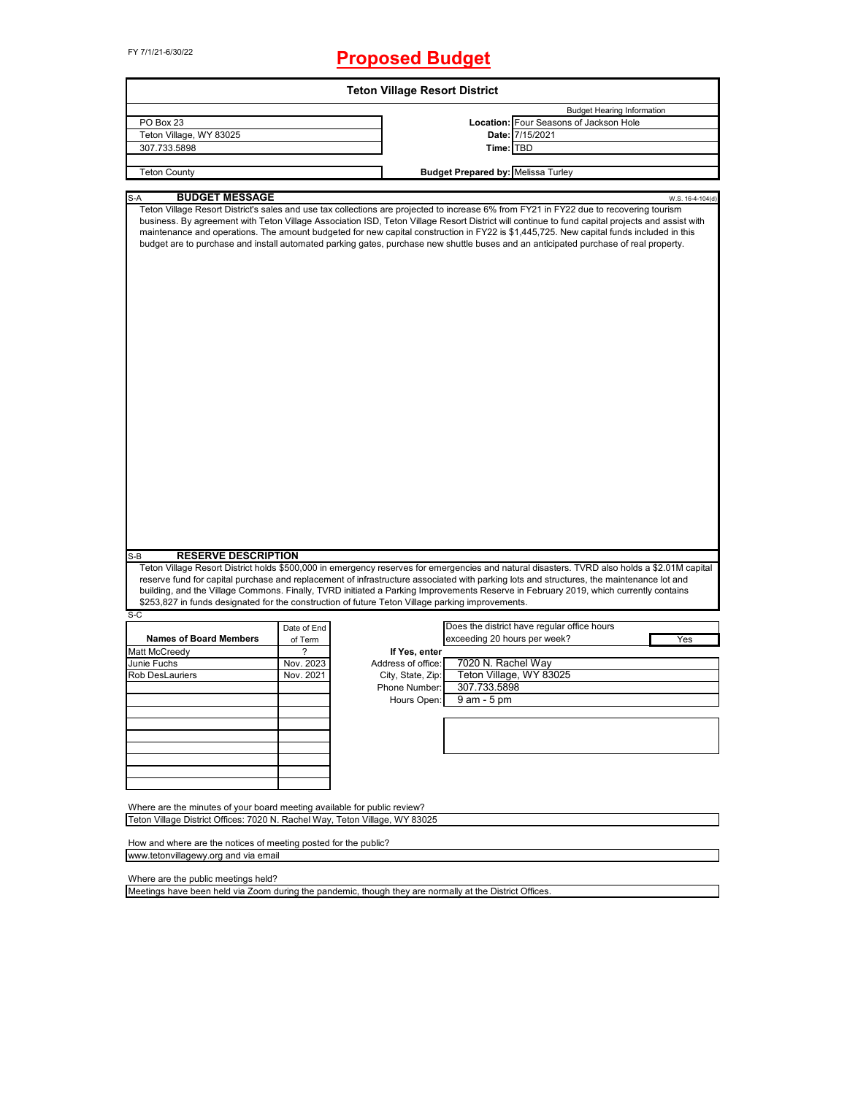# FY 7/1/21-6/30/22 **Proposed Budget**

| <b>Teton Village Resort District</b>                                                                                                  |                        |                    |                                                                                                                                                                                                                                                                                                                                                                                                                                                                                                                                                                              |                  |  |
|---------------------------------------------------------------------------------------------------------------------------------------|------------------------|--------------------|------------------------------------------------------------------------------------------------------------------------------------------------------------------------------------------------------------------------------------------------------------------------------------------------------------------------------------------------------------------------------------------------------------------------------------------------------------------------------------------------------------------------------------------------------------------------------|------------------|--|
|                                                                                                                                       |                        |                    | <b>Budget Hearing Information</b>                                                                                                                                                                                                                                                                                                                                                                                                                                                                                                                                            |                  |  |
| PO Box 23                                                                                                                             |                        |                    | Location: Four Seasons of Jackson Hole                                                                                                                                                                                                                                                                                                                                                                                                                                                                                                                                       |                  |  |
| Teton Village, WY 83025                                                                                                               |                        |                    | Date: 7/15/2021                                                                                                                                                                                                                                                                                                                                                                                                                                                                                                                                                              |                  |  |
| 307.733.5898                                                                                                                          |                        |                    | Time: TBD                                                                                                                                                                                                                                                                                                                                                                                                                                                                                                                                                                    |                  |  |
| <b>Teton County</b>                                                                                                                   |                        |                    |                                                                                                                                                                                                                                                                                                                                                                                                                                                                                                                                                                              |                  |  |
|                                                                                                                                       |                        |                    | <b>Budget Prepared by: Melissa Turley</b>                                                                                                                                                                                                                                                                                                                                                                                                                                                                                                                                    |                  |  |
| $S-A$<br><b>BUDGET MESSAGE</b>                                                                                                        |                        |                    |                                                                                                                                                                                                                                                                                                                                                                                                                                                                                                                                                                              | W.S. 16-4-104(d) |  |
|                                                                                                                                       |                        |                    | Teton Village Resort District's sales and use tax collections are projected to increase 6% from FY21 in FY22 due to recovering tourism<br>business. By agreement with Teton Village Association ISD, Teton Village Resort District will continue to fund capital projects and assist with<br>maintenance and operations. The amount budgeted for new capital construction in FY22 is \$1,445,725. New capital funds included in this<br>budget are to purchase and install automated parking gates, purchase new shuttle buses and an anticipated purchase of real property. |                  |  |
| <b>RESERVE DESCRIPTION</b><br>S-B<br>\$253,827 in funds designated for the construction of future Teton Village parking improvements. |                        |                    | Teton Village Resort District holds \$500,000 in emergency reserves for emergencies and natural disasters. TVRD also holds a \$2.01M capital<br>reserve fund for capital purchase and replacement of infrastructure associated with parking lots and structures, the maintenance lot and<br>building, and the Village Commons. Finally, TVRD initiated a Parking Improvements Reserve in February 2019, which currently contains                                                                                                                                             |                  |  |
| S-C                                                                                                                                   |                        |                    |                                                                                                                                                                                                                                                                                                                                                                                                                                                                                                                                                                              |                  |  |
| <b>Names of Board Members</b>                                                                                                         | Date of End<br>of Term |                    | Does the district have regular office hours<br>exceeding 20 hours per week?                                                                                                                                                                                                                                                                                                                                                                                                                                                                                                  | Yes              |  |
| Matt McCreedy                                                                                                                         | ?                      | If Yes, enter      |                                                                                                                                                                                                                                                                                                                                                                                                                                                                                                                                                                              |                  |  |
| Junie Fuchs                                                                                                                           | Nov. 2023              | Address of office: | 7020 N. Rachel Way                                                                                                                                                                                                                                                                                                                                                                                                                                                                                                                                                           |                  |  |
| Rob DesLauriers                                                                                                                       | Nov. 2021              | City, State, Zip:  | Teton Village, WY 83025                                                                                                                                                                                                                                                                                                                                                                                                                                                                                                                                                      |                  |  |
|                                                                                                                                       |                        | Phone Number:      | 307.733.5898                                                                                                                                                                                                                                                                                                                                                                                                                                                                                                                                                                 |                  |  |
|                                                                                                                                       |                        | Hours Open:        | 9 am - 5 pm                                                                                                                                                                                                                                                                                                                                                                                                                                                                                                                                                                  |                  |  |
|                                                                                                                                       |                        |                    |                                                                                                                                                                                                                                                                                                                                                                                                                                                                                                                                                                              |                  |  |
|                                                                                                                                       |                        |                    |                                                                                                                                                                                                                                                                                                                                                                                                                                                                                                                                                                              |                  |  |
|                                                                                                                                       |                        |                    |                                                                                                                                                                                                                                                                                                                                                                                                                                                                                                                                                                              |                  |  |
|                                                                                                                                       |                        |                    |                                                                                                                                                                                                                                                                                                                                                                                                                                                                                                                                                                              |                  |  |
|                                                                                                                                       |                        |                    |                                                                                                                                                                                                                                                                                                                                                                                                                                                                                                                                                                              |                  |  |
|                                                                                                                                       |                        |                    |                                                                                                                                                                                                                                                                                                                                                                                                                                                                                                                                                                              |                  |  |
|                                                                                                                                       |                        |                    |                                                                                                                                                                                                                                                                                                                                                                                                                                                                                                                                                                              |                  |  |
| Where are the minutes of your board meeting available for public review?                                                              |                        |                    |                                                                                                                                                                                                                                                                                                                                                                                                                                                                                                                                                                              |                  |  |
| Teton Village District Offices: 7020 N. Rachel Way, Teton Village, WY 83025                                                           |                        |                    |                                                                                                                                                                                                                                                                                                                                                                                                                                                                                                                                                                              |                  |  |
|                                                                                                                                       |                        |                    |                                                                                                                                                                                                                                                                                                                                                                                                                                                                                                                                                                              |                  |  |
| How and where are the notices of meeting posted for the public?                                                                       |                        |                    |                                                                                                                                                                                                                                                                                                                                                                                                                                                                                                                                                                              |                  |  |
| www.tetonvillagewy.org and via email                                                                                                  |                        |                    |                                                                                                                                                                                                                                                                                                                                                                                                                                                                                                                                                                              |                  |  |

Where are the public meetings held?

Meetings have been held via Zoom during the pandemic, though they are normally at the District Offices.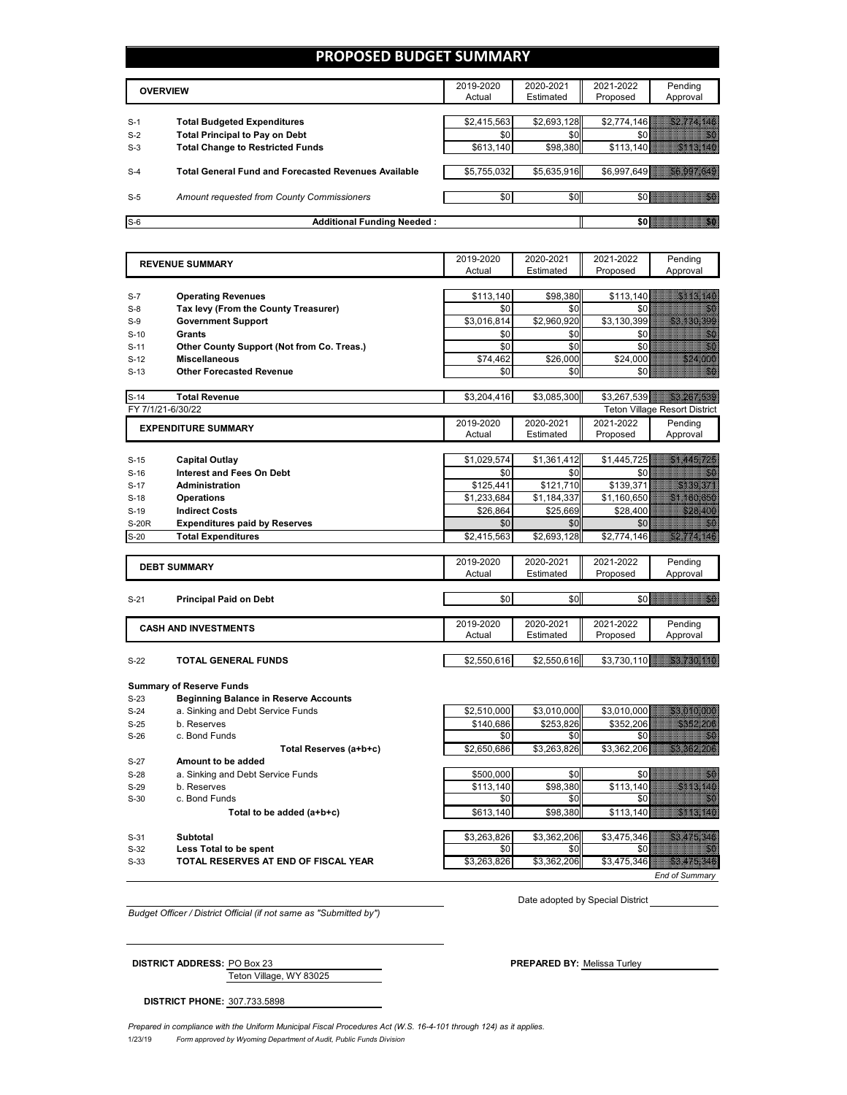## **PROPOSED BUDGET SUMMARY**

|       | <b>OVERVIEW</b>                                             | 2019-2020<br>Actual | 2020-2021<br>Estimated | 2021-2022<br>Proposed | Pending<br>Approval |
|-------|-------------------------------------------------------------|---------------------|------------------------|-----------------------|---------------------|
|       |                                                             |                     |                        |                       |                     |
| $S-1$ | <b>Total Budgeted Expenditures</b>                          | \$2,415,563         | \$2,693,128            | \$2.774.146           |                     |
| $S-2$ | <b>Total Principal to Pay on Debt</b>                       | \$0                 | \$0                    | \$0                   |                     |
| $S-3$ | <b>Total Change to Restricted Funds</b>                     | \$613,140           | \$98,380               | \$113,140             |                     |
|       |                                                             |                     |                        |                       |                     |
| $S-4$ | <b>Total General Fund and Forecasted Revenues Available</b> | \$5,755,032         | \$5,635,916            | \$6,997,649           |                     |
|       |                                                             |                     |                        |                       |                     |
| $S-5$ | Amount requested from County Commissioners                  | \$0                 | \$0                    | SO 8                  |                     |
|       |                                                             |                     |                        |                       |                     |
| $S-6$ | <b>Additional Funding Needed:</b>                           |                     |                        | \$0 B                 | 2                   |

|                   | <b>REVENUE SUMMARY</b>                           | 2019-2020                | 2020-2021                | 2021-2022        | Pending                                                                                                                                                                                                                              |
|-------------------|--------------------------------------------------|--------------------------|--------------------------|------------------|--------------------------------------------------------------------------------------------------------------------------------------------------------------------------------------------------------------------------------------|
|                   |                                                  | Actual                   | Estimated                | Proposed         | Approval                                                                                                                                                                                                                             |
|                   |                                                  |                          |                          |                  |                                                                                                                                                                                                                                      |
| $S-7$             | <b>Operating Revenues</b>                        | \$113,140                | \$98,380                 | \$113,140        | <u>e komune</u>                                                                                                                                                                                                                      |
| $S-8$             | Tax levy (From the County Treasurer)             | \$0                      | \$0                      | \$0              | en de la filosofia<br>1990                                                                                                                                                                                                           |
| $S-9$             | <b>Government Support</b>                        | \$3,016,814              | \$2,960,920              | \$3,130,399      | <u>e all'internazionale della condita dell'India di Seria di Seria di Seria di Seria di Seria di Seria di Seria </u>                                                                                                                 |
| $S-10$            | Grants                                           | \$0                      | \$0                      | \$0              | en die Stadt<br>Stadt Stadt Stadt Stadt Stadt Stadt Stadt Stadt Stadt Stadt Stadt Stadt Stadt Stadt Stadt Stadt Stadt Stadt S                                                                                                        |
| $S-11$            | Other County Support (Not from Co. Treas.)       | \$0                      | \$0                      | \$0              | en en de la familie de la familie de la familie de la familie de la familie de la familie de la familie de la<br>Constitution de la familie de la familie de la familie de la familie de la familie de la familie de la familie      |
| $S-12$            | <b>Miscellaneous</b>                             | \$74.462                 | \$26,000                 | \$24.000         | <u> Albanya San</u>                                                                                                                                                                                                                  |
| $S-13$            | <b>Other Forecasted Revenue</b>                  | \$0                      | \$0                      | \$0              | H.                                                                                                                                                                                                                                   |
|                   |                                                  |                          |                          |                  |                                                                                                                                                                                                                                      |
| $S-14$            | <b>Total Revenue</b>                             | \$3,204,416              | \$3,085,300              |                  | \$3,267,539 33.267.539                                                                                                                                                                                                               |
| FY 7/1/21-6/30/22 |                                                  |                          |                          |                  | <b>Teton Village Resort District</b>                                                                                                                                                                                                 |
|                   | <b>EXPENDITURE SUMMARY</b>                       | 2019-2020                | 2020-2021                | 2021-2022        | Pending                                                                                                                                                                                                                              |
|                   |                                                  | Actual                   | Estimated                | Proposed         | Approval                                                                                                                                                                                                                             |
|                   |                                                  |                          |                          |                  |                                                                                                                                                                                                                                      |
| $S-15$            | <b>Capital Outlay</b>                            | \$1,029,574              | \$1,361,412              | \$1,445,725      | a a chuid chuid chu                                                                                                                                                                                                                  |
| $S-16$            | <b>Interest and Fees On Debt</b>                 | \$0                      | \$0                      | \$0              | en de la política<br>Construction de la construction de la construction de la construction de la construction de la construction d<br>Construction de la construction de la construction de la construction de la construction de la |
| $S-17$            | <b>Administration</b>                            | \$125,441                | \$121,710                | \$139,371        | <b>SKASIA</b>                                                                                                                                                                                                                        |
| $S-18$            | <b>Operations</b>                                | \$1.233.684              | $\overline{\$1,184,337}$ | \$1,160,650      | <u> Kanada ya K</u>                                                                                                                                                                                                                  |
| $S-19$            | <b>Indirect Costs</b>                            | \$26,864                 | \$25,669                 | \$28,400         | e a concelho                                                                                                                                                                                                                         |
| <b>S-20R</b>      | <b>Expenditures paid by Reserves</b>             | \$0                      | \$0                      | \$0              | ▓▓                                                                                                                                                                                                                                   |
| $S-20$            | <b>Total Expenditures</b>                        | \$2,415,563              | \$2,693,128              | \$2,774,146      | <b>SALARITAS</b>                                                                                                                                                                                                                     |
|                   |                                                  |                          |                          |                  |                                                                                                                                                                                                                                      |
|                   |                                                  |                          |                          |                  |                                                                                                                                                                                                                                      |
|                   |                                                  | 2019-2020                | 2020-2021                | 2021-2022        | Pending                                                                                                                                                                                                                              |
|                   | <b>DEBT SUMMARY</b>                              | Actual                   | Estimated                | Proposed         | Approval                                                                                                                                                                                                                             |
|                   |                                                  |                          |                          |                  |                                                                                                                                                                                                                                      |
| $S-21$            | <b>Principal Paid on Debt</b>                    | \$0                      | \$0                      | \$0              |                                                                                                                                                                                                                                      |
|                   |                                                  |                          |                          |                  |                                                                                                                                                                                                                                      |
|                   | <b>CASH AND INVESTMENTS</b>                      | 2019-2020                | 2020-2021                | 2021-2022        | Pending                                                                                                                                                                                                                              |
|                   |                                                  | Actual                   | Estimated                | Proposed         | Approval                                                                                                                                                                                                                             |
|                   |                                                  |                          |                          |                  |                                                                                                                                                                                                                                      |
| $S-22$            | TOTAL GENERAL FUNDS                              | \$2,550,616              | \$2,550,616              | \$3,730,110      | <u> Karajevića i po</u>                                                                                                                                                                                                              |
|                   |                                                  |                          |                          |                  |                                                                                                                                                                                                                                      |
| $S-23$            | <b>Summary of Reserve Funds</b>                  |                          |                          |                  |                                                                                                                                                                                                                                      |
| $S-24$            | <b>Beginning Balance in Reserve Accounts</b>     |                          |                          |                  |                                                                                                                                                                                                                                      |
| $S-25$            | a. Sinking and Debt Service Funds<br>b. Reserves | \$2,510,000<br>\$140.686 | \$3,010,000              | \$3,010,000      | <u>Station Constant</u><br><u>e de la provincia de la provincia de la provincia de la provincia de la provincia de la provincia de la provi</u>                                                                                      |
| $S-26$            | c. Bond Funds                                    | \$0                      | \$253,826<br>\$0         | \$352,206<br>\$0 | an i                                                                                                                                                                                                                                 |
|                   |                                                  |                          |                          |                  | <b>Skykeriansk</b>                                                                                                                                                                                                                   |
| $S-27$            | Total Reserves (a+b+c)<br>Amount to be added     | \$2,650,686              | \$3,263,826              | \$3,362,206      |                                                                                                                                                                                                                                      |
| $S-28$            | a. Sinking and Debt Service Funds                | \$500,000                | \$0                      | \$0              |                                                                                                                                                                                                                                      |
| $S-29$            | b. Reserves                                      |                          |                          |                  | en de la familie de la familie de la familie de la familie de la familie de la familie de la familie de la fa<br>Concello de la familie de la familie de la familie de la familie de la familie de la familie de la familie de       |
| $S-30$            | c. Bond Funds                                    | \$113,140<br>\$0         | \$98,380<br>\$0          | \$113,140<br>\$0 | <u>Saataanii k</u><br>3                                                                                                                                                                                                              |
|                   |                                                  |                          |                          |                  |                                                                                                                                                                                                                                      |
|                   | Total to be added (a+b+c)                        | \$613,140                | \$98,380                 | \$113,140        | <b>RANGE AND STATE</b>                                                                                                                                                                                                               |
| $S-31$            | Subtotal                                         | \$3,263,826              | \$3,362,206              | \$3,475,346      |                                                                                                                                                                                                                                      |

S-33 **TOTAL RESERVES AT END OF FISCAL YEAR \$**3,263,826 \$3,362,206 \$3,475,346 \$\$\$475,346

*Budget Officer / District Official (if not same as "Submitted by")*

Date adopted by Special District

*End of Summary*

Teton Village, WY 83025

**DISTRICT ADDRESS:** PO Box 23 **PREPARED BY:** Melissa Turley

**DISTRICT PHONE:** 307.733.5898

1/23/19 *Form approved by Wyoming Department of Audit, Public Funds Division Prepared in compliance with the Uniform Municipal Fiscal Procedures Act (W.S. 16-4-101 through 124) as it applies.*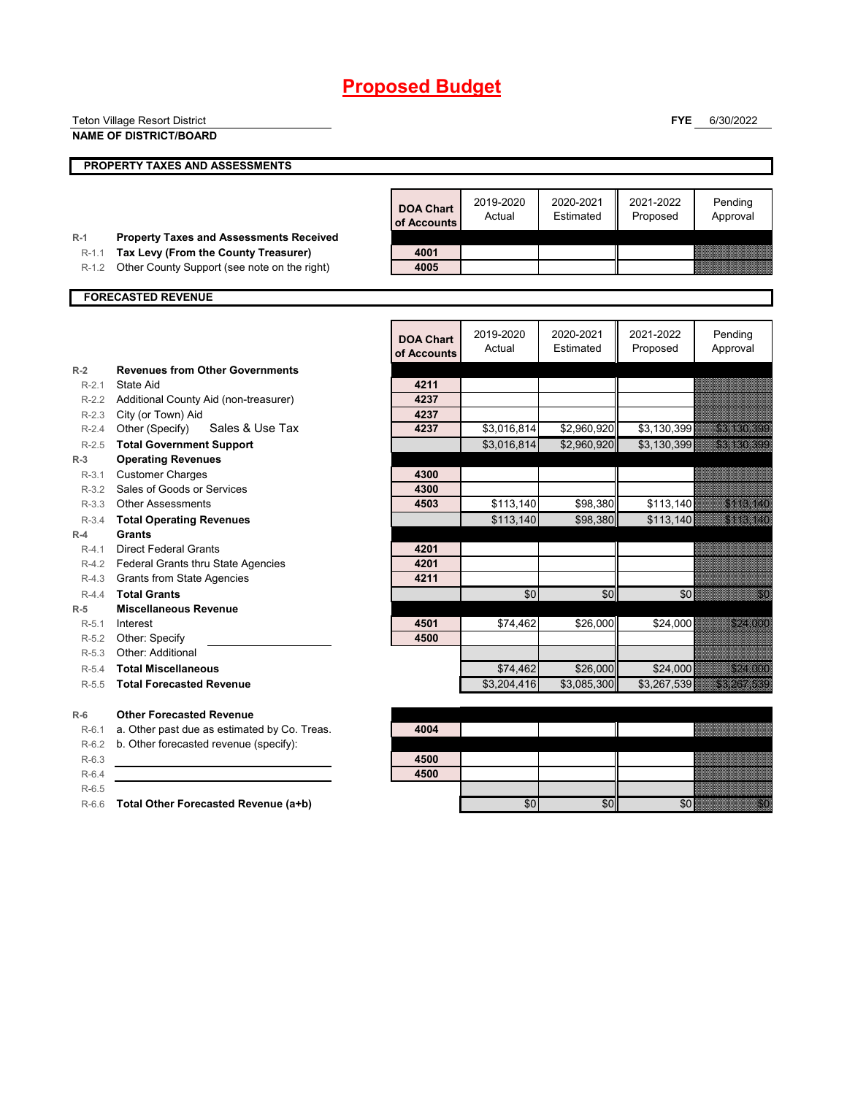|                      | <b>Teton Village Resort District</b>                     |                  |                     |                        | <b>FYE</b>            | 6/30/2022                                                                                                                                                                                                                        |
|----------------------|----------------------------------------------------------|------------------|---------------------|------------------------|-----------------------|----------------------------------------------------------------------------------------------------------------------------------------------------------------------------------------------------------------------------------|
|                      | <b>NAME OF DISTRICT/BOARD</b>                            |                  |                     |                        |                       |                                                                                                                                                                                                                                  |
|                      |                                                          |                  |                     |                        |                       |                                                                                                                                                                                                                                  |
|                      | PROPERTY TAXES AND ASSESSMENTS                           |                  |                     |                        |                       |                                                                                                                                                                                                                                  |
|                      |                                                          |                  |                     |                        |                       |                                                                                                                                                                                                                                  |
|                      |                                                          | <b>DOA Chart</b> | 2019-2020           | 2020-2021              | 2021-2022             | Pending                                                                                                                                                                                                                          |
|                      |                                                          | of Accounts      | Actual              | Estimated              | Proposed              | Approval                                                                                                                                                                                                                         |
| $R-1$                | <b>Property Taxes and Assessments Received</b>           |                  |                     |                        |                       |                                                                                                                                                                                                                                  |
| $R-1.1$              | Tax Levy (From the County Treasurer)                     | 4001             |                     |                        |                       |                                                                                                                                                                                                                                  |
| $R-1.2$              | Other County Support (see note on the right)             | 4005             |                     |                        |                       |                                                                                                                                                                                                                                  |
|                      | <b>FORECASTED REVENUE</b>                                |                  |                     |                        |                       |                                                                                                                                                                                                                                  |
|                      |                                                          |                  |                     |                        |                       |                                                                                                                                                                                                                                  |
|                      |                                                          |                  |                     |                        |                       |                                                                                                                                                                                                                                  |
|                      |                                                          | <b>DOA Chart</b> | 2019-2020<br>Actual | 2020-2021<br>Estimated | 2021-2022<br>Proposed | Pending<br>Approval                                                                                                                                                                                                              |
|                      |                                                          | of Accounts      |                     |                        |                       |                                                                                                                                                                                                                                  |
| $R-2$                | <b>Revenues from Other Governments</b>                   |                  |                     |                        |                       |                                                                                                                                                                                                                                  |
| $R-2.1$              | State Aid                                                | 4211             |                     |                        |                       |                                                                                                                                                                                                                                  |
|                      | R-2.2 Additional County Aid (non-treasurer)              | 4237             |                     |                        |                       |                                                                                                                                                                                                                                  |
| $R - 2.3$<br>$R-2.4$ | City (or Town) Aid<br>Sales & Use Tax<br>Other (Specify) | 4237<br>4237     | \$3,016,814         | \$2,960,920            | \$3,130,399           | 33.139.399                                                                                                                                                                                                                       |
| $R-2.5$              | <b>Total Government Support</b>                          |                  | \$3,016,814         | \$2,960,920            | \$3,130,399           | <u>e de la componenta</u>                                                                                                                                                                                                        |
| $R-3$                | <b>Operating Revenues</b>                                |                  |                     |                        |                       |                                                                                                                                                                                                                                  |
| $R-3.1$              | <b>Customer Charges</b>                                  | 4300             |                     |                        |                       |                                                                                                                                                                                                                                  |
|                      | R-3.2 Sales of Goods or Services                         | 4300             |                     |                        |                       |                                                                                                                                                                                                                                  |
|                      | R-3.3 Other Assessments                                  | 4503             | \$113,140           | \$98,380               | \$113,140             | a a chuid ann an                                                                                                                                                                                                                 |
| $R-3.4$              | <b>Total Operating Revenues</b>                          |                  | \$113,140           | \$98,380               | \$113,140             | SHESHIKO                                                                                                                                                                                                                         |
| $R-4$                | Grants                                                   |                  |                     |                        |                       |                                                                                                                                                                                                                                  |
| $R-4.1$              | <b>Direct Federal Grants</b>                             | 4201             |                     |                        |                       |                                                                                                                                                                                                                                  |
| R-4.2                | Federal Grants thru State Agencies                       | 4201             |                     |                        |                       |                                                                                                                                                                                                                                  |
| R-4.3                | <b>Grants from State Agencies</b>                        | 4211             |                     |                        |                       |                                                                                                                                                                                                                                  |
| $R-4.4$              | <b>Total Grants</b>                                      |                  | \$0                 | \$0                    | \$0                   | a a componenta de la construcción de la construcción de la construcción de la construcción de la construcción                                                                                                                    |
| $R-5$<br>$R-5.1$     | <b>Miscellaneous Revenue</b><br>Interest                 | 4501             | \$74,462            | \$26,000               | \$24,000              |                                                                                                                                                                                                                                  |
| R-5.2                | Other: Specify                                           | 4500             |                     |                        |                       |                                                                                                                                                                                                                                  |
| $R-5.3$              | Other: Additional                                        |                  |                     |                        |                       |                                                                                                                                                                                                                                  |
| $R-5.4$              | <b>Total Miscellaneous</b>                               |                  | \$74,462            | \$26,000               | \$24,000              | <b>ROLLERS</b>                                                                                                                                                                                                                   |
| $R-5.5$              | <b>Total Forecasted Revenue</b>                          |                  | \$3,204,416         | \$3,085,300            | \$3,267,539           | <b>SALARA ANG PARTITI</b>                                                                                                                                                                                                        |
|                      |                                                          |                  |                     |                        |                       |                                                                                                                                                                                                                                  |
| $R-6$                | <b>Other Forecasted Revenue</b>                          |                  |                     |                        |                       |                                                                                                                                                                                                                                  |
| $R-6.1$              | a. Other past due as estimated by Co. Treas.             | 4004             |                     |                        |                       | <u> Karl Charles (Charl Charl Charl Charl Charl Charl Charl Charl Charl Charl Charl Charl Charl Charl Charl Charl Cha</u>                                                                                                        |
| $R-6.2$              | b. Other forecasted revenue (specify):                   |                  |                     |                        |                       |                                                                                                                                                                                                                                  |
| $R-6.3$              |                                                          | 4500             |                     |                        |                       |                                                                                                                                                                                                                                  |
| $R-6.4$              |                                                          | 4500             |                     |                        |                       |                                                                                                                                                                                                                                  |
| $R-6.5$              |                                                          |                  |                     |                        |                       |                                                                                                                                                                                                                                  |
|                      | R-6.6 Total Other Forecasted Revenue (a+b)               |                  | \$0                 | \$0                    | \$0                   | e e de la construcción de la construcción de la construcción de la construcción de la construcción de la const<br>Construcción de la construcción de la construcción de la construcción de la construcción de la construcción de |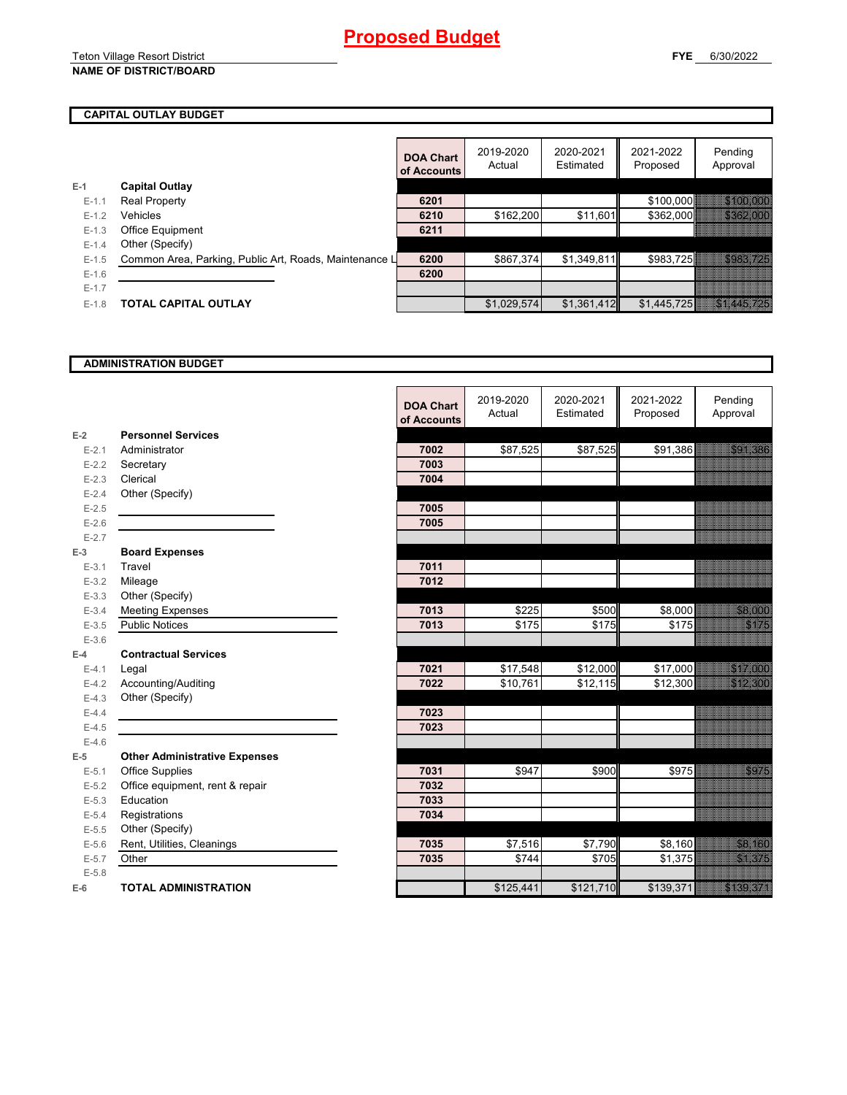## **CAPITAL OUTLAY BUDGET**

|           |                                                        | <b>DOA Chart</b><br>of Accounts | 2019-2020<br>Actual | 2020-2021<br>Estimated | 2021-2022<br>Proposed | Pending<br>Approval         |
|-----------|--------------------------------------------------------|---------------------------------|---------------------|------------------------|-----------------------|-----------------------------|
| $E-1$     | <b>Capital Outlay</b>                                  |                                 |                     |                        |                       |                             |
| $E-1.1$   | <b>Real Property</b>                                   | 6201                            |                     |                        | \$100,000             | 34004000                    |
| $E-1.2$   | Vehicles                                               | 6210                            | \$162,200           | \$11,601               | \$362,000             | 233 MARS                    |
| $E - 1.3$ | Office Equipment                                       | 6211                            |                     |                        |                       |                             |
| $E - 1.4$ | Other (Specify)                                        |                                 |                     |                        |                       |                             |
| $E-1.5$   | Common Area, Parking, Public Art, Roads, Maintenance L | 6200                            | \$867,374           | \$1,349,811            | \$983,725             | 3983.725                    |
| $E - 1.6$ |                                                        | 6200                            |                     |                        |                       |                             |
| $E-1.7$   |                                                        |                                 |                     |                        |                       |                             |
| $E-1.8$   | TOTAL CAPITAL OUTLAY                                   |                                 | \$1,029,574         | \$1,361,412            | \$1,445,725           | <u> Tanzania (h. 1888).</u> |

#### **ADMINISTRATION BUDGET**

|           |                                      | <b>DOA Chart</b><br>of Accounts | 2019-2020<br>Actual | 2020-2021<br>Estimated | 2021-2022<br>Proposed | Pending<br>Approval                                                                                                                                                                                                             |
|-----------|--------------------------------------|---------------------------------|---------------------|------------------------|-----------------------|---------------------------------------------------------------------------------------------------------------------------------------------------------------------------------------------------------------------------------|
| $E-2$     | <b>Personnel Services</b>            |                                 |                     |                        |                       |                                                                                                                                                                                                                                 |
| $E - 2.1$ | Administrator                        | 7002                            | \$87,525            | \$87,525               | \$91,386              |                                                                                                                                                                                                                                 |
| $E - 2.2$ | Secretary                            | 7003                            |                     |                        |                       |                                                                                                                                                                                                                                 |
| $E-2.3$   | Clerical                             | 7004                            |                     |                        |                       |                                                                                                                                                                                                                                 |
| $E-2.4$   | Other (Specify)                      |                                 |                     |                        |                       |                                                                                                                                                                                                                                 |
| $E-2.5$   |                                      | 7005                            |                     |                        |                       |                                                                                                                                                                                                                                 |
| $E-2.6$   |                                      | 7005                            |                     |                        |                       |                                                                                                                                                                                                                                 |
| $E - 2.7$ |                                      |                                 |                     |                        |                       |                                                                                                                                                                                                                                 |
| $E-3$     | <b>Board Expenses</b>                |                                 |                     |                        |                       |                                                                                                                                                                                                                                 |
| $E - 3.1$ | Travel                               | 7011                            |                     |                        |                       |                                                                                                                                                                                                                                 |
| $E-3.2$   | Mileage                              | 7012                            |                     |                        |                       |                                                                                                                                                                                                                                 |
| $E - 3.3$ | Other (Specify)                      |                                 |                     |                        |                       |                                                                                                                                                                                                                                 |
| $E - 3.4$ | <b>Meeting Expenses</b>              | 7013                            | \$225               | \$500                  | \$8,000               | a ang                                                                                                                                                                                                                           |
| $E-3.5$   | <b>Public Notices</b>                | 7013                            | \$175               | \$175                  | \$175                 | <u>ting and</u>                                                                                                                                                                                                                 |
| $E - 3.6$ |                                      |                                 |                     |                        |                       |                                                                                                                                                                                                                                 |
| $E-4$     | <b>Contractual Services</b>          |                                 |                     |                        |                       |                                                                                                                                                                                                                                 |
| $E-4.1$   | Legal                                | 7021                            | \$17,548            | \$12,000               | \$17,000              |                                                                                                                                                                                                                                 |
| $E-4.2$   | Accounting/Auditing                  | 7022                            | \$10,761            | \$12,115               | \$12,300              | <b>RADARISTAS</b>                                                                                                                                                                                                               |
| $E-4.3$   | Other (Specify)                      |                                 |                     |                        |                       |                                                                                                                                                                                                                                 |
| $E-4.4$   |                                      | 7023                            |                     |                        |                       |                                                                                                                                                                                                                                 |
| $E-4.5$   |                                      | 7023                            |                     |                        |                       |                                                                                                                                                                                                                                 |
| $E-4.6$   |                                      |                                 |                     |                        |                       |                                                                                                                                                                                                                                 |
| $E-5$     | <b>Other Administrative Expenses</b> |                                 |                     |                        |                       |                                                                                                                                                                                                                                 |
| $E - 5.1$ | <b>Office Supplies</b>               | 7031                            | \$947               | \$900                  | \$975                 | en de la filmonia de la filmonia de la filmonia de la filmonia de la filmonia de la filmonia de la filmonia d<br>Establecer de la filmonia de la filmonia de la filmonia de la filmonia de la filmonia de la filmonia de la fil |
| $E-5.2$   | Office equipment, rent & repair      | 7032                            |                     |                        |                       |                                                                                                                                                                                                                                 |
| $E-5.3$   | Education                            | 7033                            |                     |                        |                       |                                                                                                                                                                                                                                 |
| $E-5.4$   | Registrations                        | 7034                            |                     |                        |                       |                                                                                                                                                                                                                                 |
| $E-5.5$   | Other (Specify)                      |                                 |                     |                        |                       |                                                                                                                                                                                                                                 |
| $E-5.6$   | Rent, Utilities, Cleanings           | 7035                            | \$7,516             | \$7,790                | \$8,160               | e alla parte della                                                                                                                                                                                                              |
| $E - 5.7$ | Other                                | 7035                            | \$744               | \$705                  | \$1,375               |                                                                                                                                                                                                                                 |
| $E - 5.8$ |                                      |                                 |                     |                        |                       |                                                                                                                                                                                                                                 |
| $E-6$     | <b>TOTAL ADMINISTRATION</b>          |                                 | \$125,441           | \$121,710              | \$139,371             | <u>e de la pro</u>                                                                                                                                                                                                              |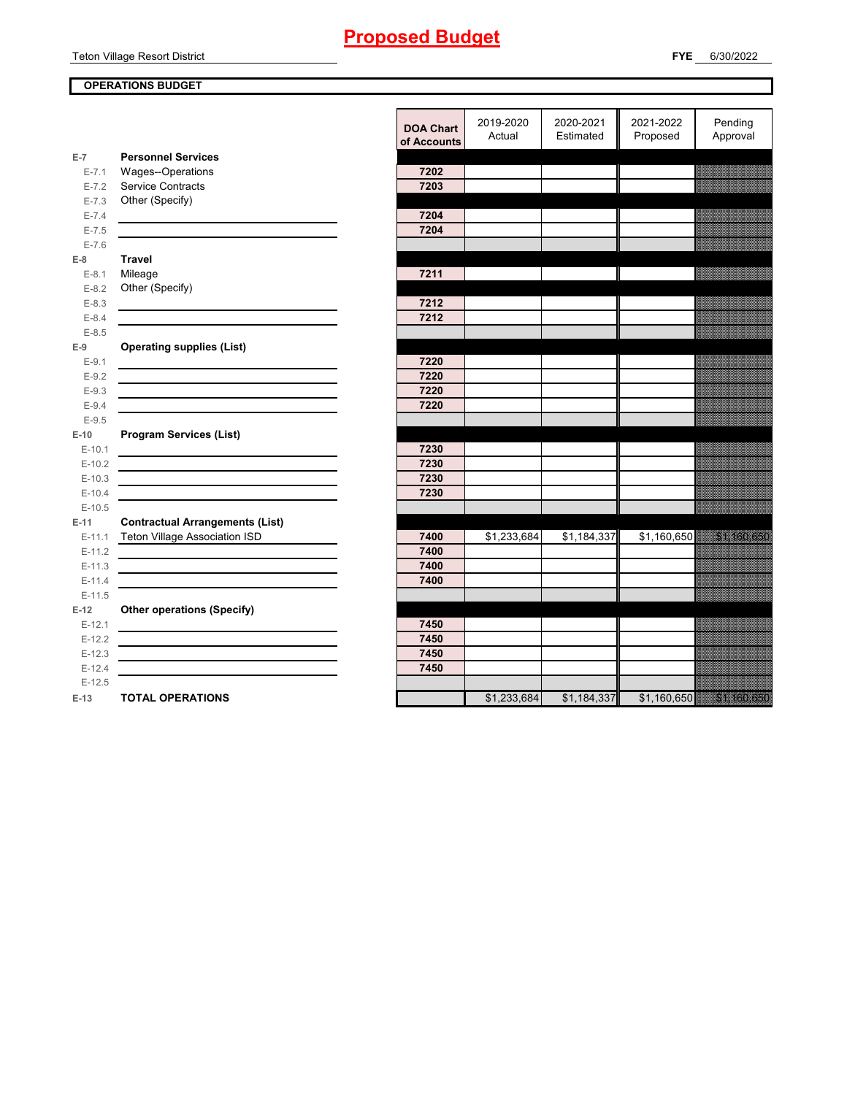Teton Village Resort District

## **OPERATIONS BUDGET**

|                    |                                                               | <b>DOA Chart</b><br>of Accounts | 2019-2020<br>Actual | 2020-2021<br>Estimated | 2021-2022<br>Proposed | Pending<br>Approval |
|--------------------|---------------------------------------------------------------|---------------------------------|---------------------|------------------------|-----------------------|---------------------|
| $E-7$              | <b>Personnel Services</b>                                     |                                 |                     |                        |                       |                     |
| $E - 7.1$          | Wages--Operations                                             | 7202                            |                     |                        |                       |                     |
| $E - 7.2$          | <b>Service Contracts</b>                                      | 7203                            |                     |                        |                       |                     |
| $E - 7.3$          | Other (Specify)                                               |                                 |                     |                        |                       |                     |
| $E - 7.4$          |                                                               | 7204                            |                     |                        |                       |                     |
| $E - 7.5$          |                                                               | 7204                            |                     |                        |                       |                     |
| $E - 7.6$<br>$E-8$ | <b>Travel</b>                                                 |                                 |                     |                        |                       |                     |
| $E-8.1$            | Mileage                                                       | 7211                            |                     |                        |                       |                     |
| $E - 8.2$          | Other (Specify)                                               |                                 |                     |                        |                       |                     |
| $E-8.3$            |                                                               | 7212                            |                     |                        |                       |                     |
| $E - 8.4$          |                                                               | 7212                            |                     |                        |                       |                     |
| $E - 8.5$          |                                                               |                                 |                     |                        |                       |                     |
| $E-9$              | <b>Operating supplies (List)</b>                              |                                 |                     |                        |                       |                     |
| $E-9.1$            |                                                               | 7220                            |                     |                        |                       |                     |
| $E-9.2$            |                                                               | 7220                            |                     |                        |                       |                     |
| $E-9.3$            |                                                               | 7220                            |                     |                        |                       |                     |
| $E-9.4$            |                                                               | 7220                            |                     |                        |                       |                     |
| $E-9.5$            |                                                               |                                 |                     |                        |                       |                     |
| $E-10$             | <b>Program Services (List)</b>                                |                                 |                     |                        |                       |                     |
| $E-10.1$           |                                                               | 7230                            |                     |                        |                       |                     |
| $E-10.2$           |                                                               | 7230                            |                     |                        |                       |                     |
| $E-10.3$           |                                                               | 7230                            |                     |                        |                       |                     |
| $E-10.4$           |                                                               | 7230                            |                     |                        |                       |                     |
| $E-10.5$           |                                                               |                                 |                     |                        |                       |                     |
| $E-11$             | <b>Contractual Arrangements (List)</b>                        |                                 |                     |                        |                       |                     |
| $E-11.1$           | <b>Teton Village Association ISD</b>                          | 7400                            | \$1,233,684         | \$1,184,337            | \$1,160,650           | 51. 69. 59.         |
| $E-11.2$           |                                                               | 7400                            |                     |                        |                       |                     |
| $E-11.3$           |                                                               | 7400                            |                     |                        |                       |                     |
| $E-11.4$           |                                                               | 7400                            |                     |                        |                       |                     |
| $E-11.5$           |                                                               |                                 |                     |                        |                       |                     |
| $E-12$             | <b>Other operations (Specify)</b>                             |                                 |                     |                        |                       |                     |
| $E-12.1$           |                                                               | 7450                            |                     |                        |                       |                     |
| $E-12.2$           |                                                               | 7450                            |                     |                        |                       |                     |
| $E-12.3$           | <u> 1980 - Johann Barn, mars an t-Amerikaansk kommunist (</u> | 7450                            |                     |                        |                       |                     |
| $E-12.4$           |                                                               | 7450                            |                     |                        |                       |                     |
| $E-12.5$<br>$E-13$ | <b>TOTAL OPERATIONS</b>                                       |                                 | \$1,233,684         | \$1,184,337            | \$1,160,650           | 51. 59. 559         |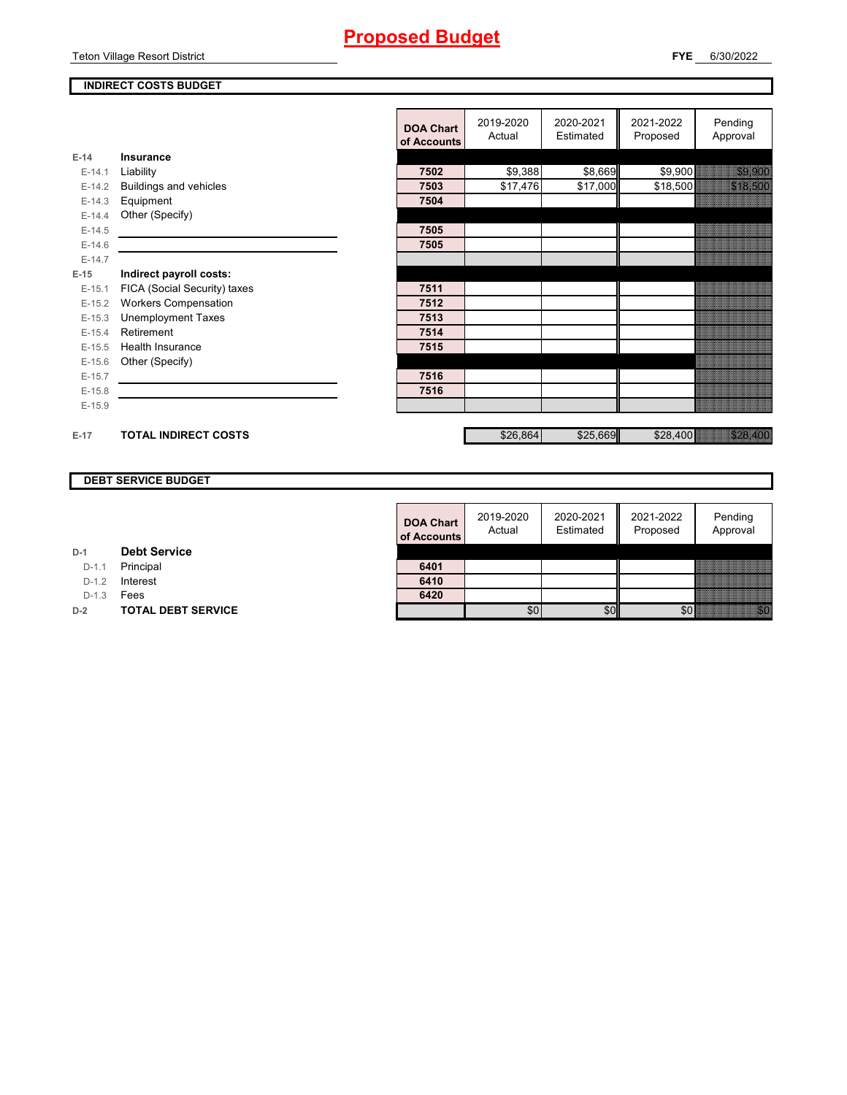Teton Village Resort District

## **INDIRECT COSTS BUDGET**

|          |                               | <b>DOA Chart</b><br>of Accounts | 2019-2020<br>Actual | 2020-2021<br>Estimated | 2021-2022<br>Proposed | Pending<br>Approval |
|----------|-------------------------------|---------------------------------|---------------------|------------------------|-----------------------|---------------------|
| $E-14$   | Insurance                     |                                 |                     |                        |                       |                     |
| $E-14.1$ | Liability                     | 7502                            | \$9,388             | \$8,669                | \$9,900               | a ang pang          |
| $E-14.2$ | <b>Buildings and vehicles</b> | 7503                            | \$17,476            | \$17,000               | \$18,500              | <u> Maria Ba</u>    |
| $E-14.3$ | Equipment                     | 7504                            |                     |                        |                       |                     |
| $E-14.4$ | Other (Specify)               |                                 |                     |                        |                       |                     |
| $E-14.5$ |                               | 7505                            |                     |                        |                       |                     |
| $E-14.6$ |                               | 7505                            |                     |                        |                       |                     |
| $E-14.7$ |                               |                                 |                     |                        |                       |                     |
| $E-15$   | Indirect payroll costs:       |                                 |                     |                        |                       |                     |
| $E-15.1$ | FICA (Social Security) taxes  | 7511                            |                     |                        |                       |                     |
| $E-15.2$ | <b>Workers Compensation</b>   | 7512                            |                     |                        |                       |                     |
| $E-15.3$ | <b>Unemployment Taxes</b>     | 7513                            |                     |                        |                       |                     |
| $E-15.4$ | Retirement                    | 7514                            |                     |                        |                       |                     |
| $E-15.5$ | Health Insurance              | 7515                            |                     |                        |                       |                     |
| $E-15.6$ | Other (Specify)               |                                 |                     |                        |                       |                     |
| $E-15.7$ |                               | 7516                            |                     |                        |                       |                     |
| $E-15.8$ |                               | 7516                            |                     |                        |                       |                     |
| $E-15.9$ |                               |                                 |                     |                        |                       |                     |
|          |                               |                                 |                     |                        |                       |                     |
| $E-17$   | <b>TOTAL INDIRECT COSTS</b>   |                                 | \$26,864            | \$25,669               | \$28,400              | a a chunach         |

#### **DEBT SERVICE BUDGET**

| <b>DOA Chart</b><br>of Accounts | 2019-2020<br>Actual | 2020-2021<br>Estimated | 2021-2022<br>Proposed | Pending<br>Approval |
|---------------------------------|---------------------|------------------------|-----------------------|---------------------|
|                                 |                     |                        |                       |                     |
| 6401                            |                     |                        |                       |                     |
| 6410                            |                     |                        |                       |                     |
| 6420                            |                     |                        |                       |                     |
|                                 |                     |                        |                       |                     |

| <b>Debt Service</b> |
|---------------------|
|                     |

D-1.1 Principal **6401**

D-1.2 **Interest** 

D-1.3 **Fees** 

**D-2 TOTAL DEBT SERVICE**